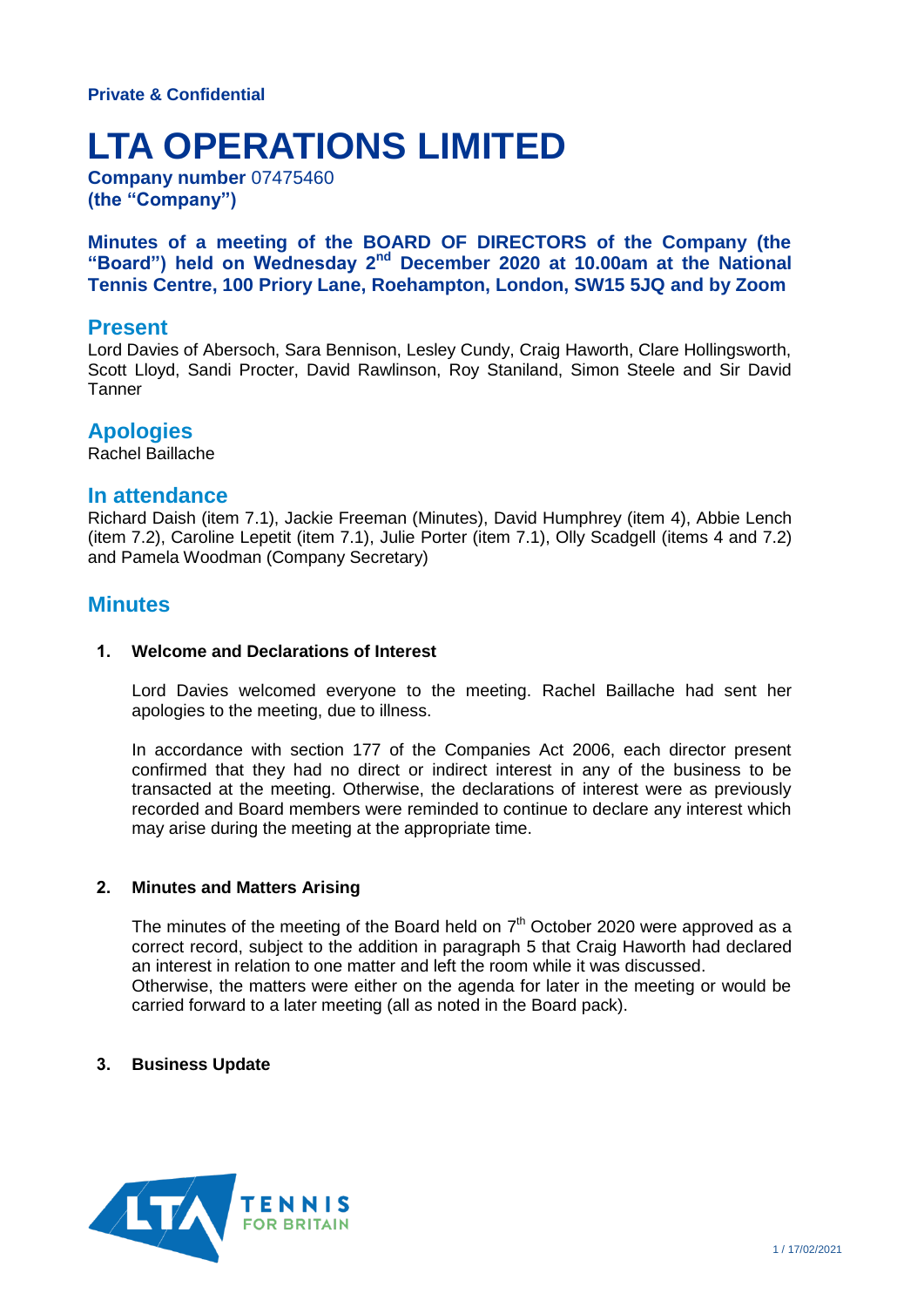# **LTA OPERATIONS LIMITED**

**Company number** 07475460 **(the "Company")**

**Minutes of a meeting of the BOARD OF DIRECTORS of the Company (the**  "Board") held on Wednesday 2<sup>nd</sup> December 2020 at 10.00am at the National **Tennis Centre, 100 Priory Lane, Roehampton, London, SW15 5JQ and by Zoom**

# **Present**

Lord Davies of Abersoch, Sara Bennison, Lesley Cundy, Craig Haworth, Clare Hollingsworth, Scott Lloyd, Sandi Procter, David Rawlinson, Roy Staniland, Simon Steele and Sir David **Tanner** 

# **Apologies**

Rachel Baillache

## **In attendance**

Richard Daish (item 7.1), Jackie Freeman (Minutes), David Humphrey (item 4), Abbie Lench (item 7.2), Caroline Lepetit (item 7.1), Julie Porter (item 7.1), Olly Scadgell (items 4 and 7.2) and Pamela Woodman (Company Secretary)

# **Minutes**

### **1. Welcome and Declarations of Interest**

Lord Davies welcomed everyone to the meeting. Rachel Baillache had sent her apologies to the meeting, due to illness.

In accordance with section 177 of the Companies Act 2006, each director present confirmed that they had no direct or indirect interest in any of the business to be transacted at the meeting. Otherwise, the declarations of interest were as previously recorded and Board members were reminded to continue to declare any interest which may arise during the meeting at the appropriate time.

#### **2. Minutes and Matters Arising**

The minutes of the meeting of the Board held on  $7<sup>th</sup>$  October 2020 were approved as a correct record, subject to the addition in paragraph 5 that Craig Haworth had declared an interest in relation to one matter and left the room while it was discussed. Otherwise, the matters were either on the agenda for later in the meeting or would be carried forward to a later meeting (all as noted in the Board pack).

## **3. Business Update**

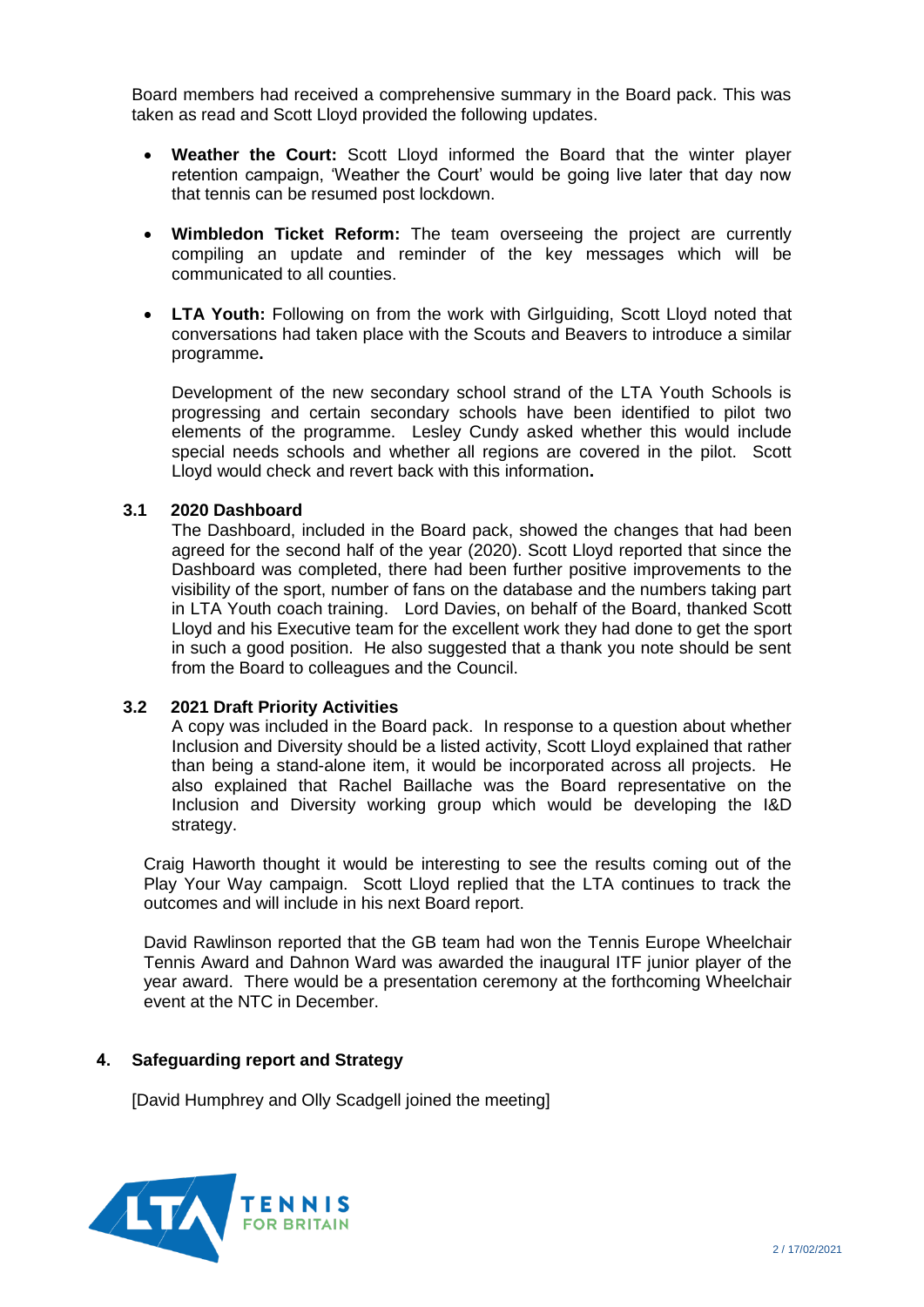Board members had received a comprehensive summary in the Board pack. This was taken as read and Scott Lloyd provided the following updates.

- **Weather the Court:** Scott Lloyd informed the Board that the winter player retention campaign, 'Weather the Court' would be going live later that day now that tennis can be resumed post lockdown.
- **Wimbledon Ticket Reform:** The team overseeing the project are currently compiling an update and reminder of the key messages which will be communicated to all counties.
- **LTA Youth:** Following on from the work with Girlguiding, Scott Lloyd noted that conversations had taken place with the Scouts and Beavers to introduce a similar programme**.**

Development of the new secondary school strand of the LTA Youth Schools is progressing and certain secondary schools have been identified to pilot two elements of the programme. Lesley Cundy asked whether this would include special needs schools and whether all regions are covered in the pilot. Scott Lloyd would check and revert back with this information**.**

## **3.1 2020 Dashboard**

The Dashboard, included in the Board pack, showed the changes that had been agreed for the second half of the year (2020). Scott Lloyd reported that since the Dashboard was completed, there had been further positive improvements to the visibility of the sport, number of fans on the database and the numbers taking part in LTA Youth coach training. Lord Davies, on behalf of the Board, thanked Scott Lloyd and his Executive team for the excellent work they had done to get the sport in such a good position. He also suggested that a thank you note should be sent from the Board to colleagues and the Council.

#### **3.2 2021 Draft Priority Activities**

A copy was included in the Board pack. In response to a question about whether Inclusion and Diversity should be a listed activity, Scott Lloyd explained that rather than being a stand-alone item, it would be incorporated across all projects. He also explained that Rachel Baillache was the Board representative on the Inclusion and Diversity working group which would be developing the I&D strategy.

Craig Haworth thought it would be interesting to see the results coming out of the Play Your Way campaign. Scott Lloyd replied that the LTA continues to track the outcomes and will include in his next Board report.

David Rawlinson reported that the GB team had won the Tennis Europe Wheelchair Tennis Award and Dahnon Ward was awarded the inaugural ITF junior player of the year award. There would be a presentation ceremony at the forthcoming Wheelchair event at the NTC in December.

## **4. Safeguarding report and Strategy**

[David Humphrey and Olly Scadgell joined the meeting]

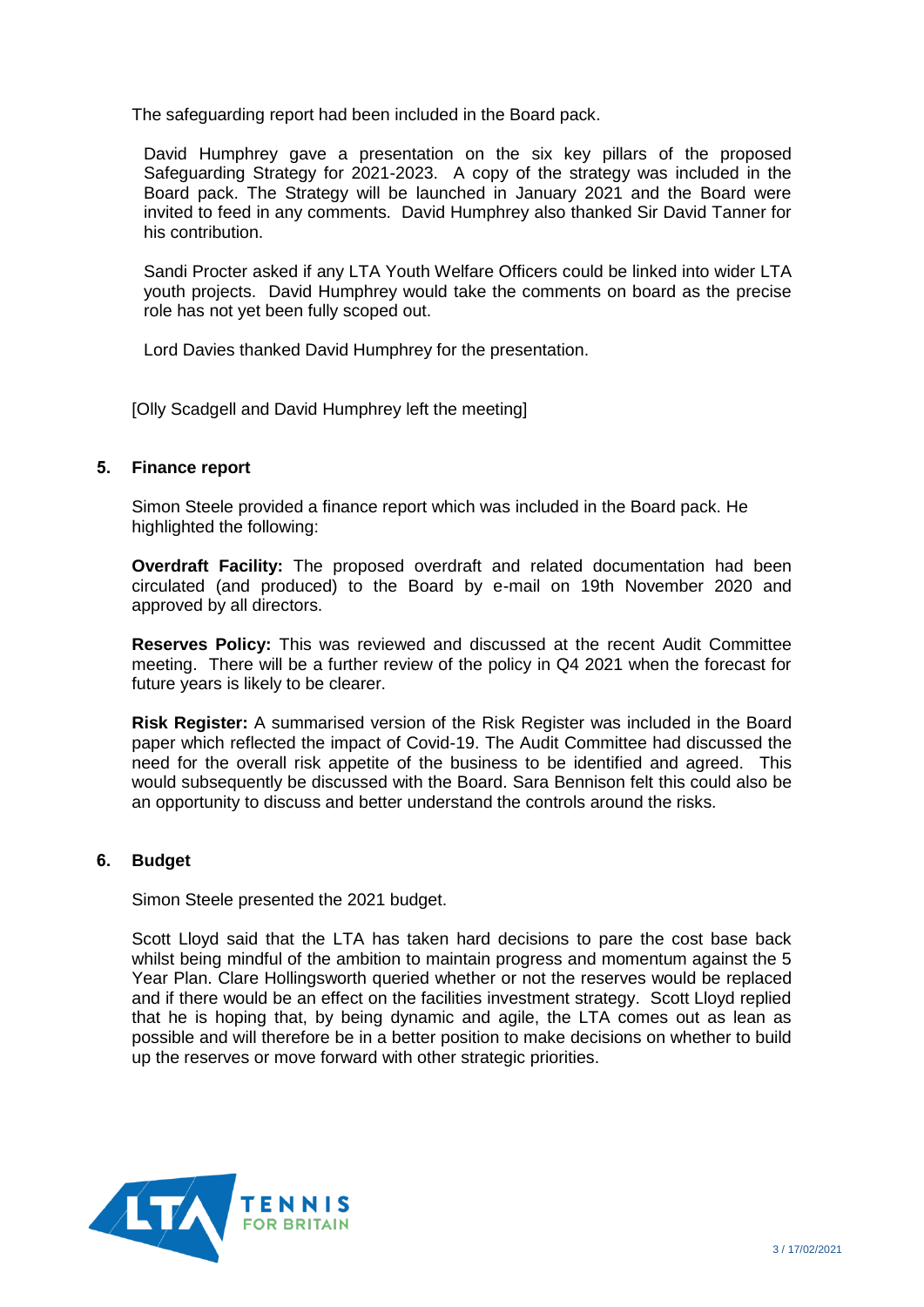The safeguarding report had been included in the Board pack.

David Humphrey gave a presentation on the six key pillars of the proposed Safeguarding Strategy for 2021-2023. A copy of the strategy was included in the Board pack. The Strategy will be launched in January 2021 and the Board were invited to feed in any comments. David Humphrey also thanked Sir David Tanner for his contribution.

Sandi Procter asked if any LTA Youth Welfare Officers could be linked into wider LTA youth projects. David Humphrey would take the comments on board as the precise role has not yet been fully scoped out.

Lord Davies thanked David Humphrey for the presentation.

[Olly Scadgell and David Humphrey left the meeting]

## **5. Finance report**

Simon Steele provided a finance report which was included in the Board pack. He highlighted the following:

**Overdraft Facility:** The proposed overdraft and related documentation had been circulated (and produced) to the Board by e-mail on 19th November 2020 and approved by all directors.

**Reserves Policy:** This was reviewed and discussed at the recent Audit Committee meeting. There will be a further review of the policy in Q4 2021 when the forecast for future years is likely to be clearer.

**Risk Register:** A summarised version of the Risk Register was included in the Board paper which reflected the impact of Covid-19. The Audit Committee had discussed the need for the overall risk appetite of the business to be identified and agreed. This would subsequently be discussed with the Board. Sara Bennison felt this could also be an opportunity to discuss and better understand the controls around the risks.

## **6. Budget**

Simon Steele presented the 2021 budget.

Scott Lloyd said that the LTA has taken hard decisions to pare the cost base back whilst being mindful of the ambition to maintain progress and momentum against the 5 Year Plan. Clare Hollingsworth queried whether or not the reserves would be replaced and if there would be an effect on the facilities investment strategy. Scott Lloyd replied that he is hoping that, by being dynamic and agile, the LTA comes out as lean as possible and will therefore be in a better position to make decisions on whether to build up the reserves or move forward with other strategic priorities.

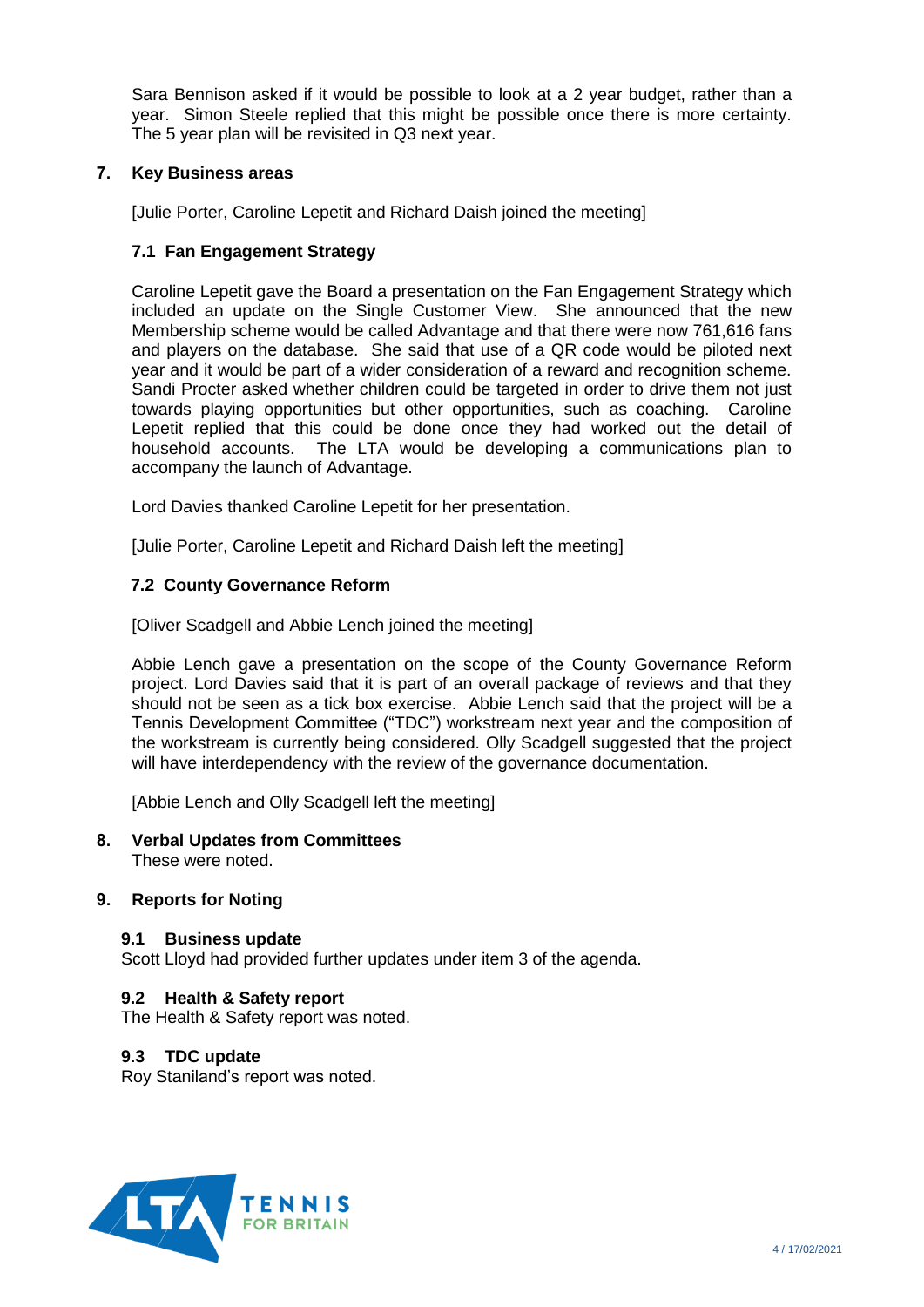Sara Bennison asked if it would be possible to look at a 2 year budget, rather than a year. Simon Steele replied that this might be possible once there is more certainty. The 5 year plan will be revisited in Q3 next year.

# **7. Key Business areas**

[Julie Porter, Caroline Lepetit and Richard Daish joined the meeting]

# **7.1 Fan Engagement Strategy**

Caroline Lepetit gave the Board a presentation on the Fan Engagement Strategy which included an update on the Single Customer View. She announced that the new Membership scheme would be called Advantage and that there were now 761,616 fans and players on the database. She said that use of a QR code would be piloted next year and it would be part of a wider consideration of a reward and recognition scheme. Sandi Procter asked whether children could be targeted in order to drive them not just towards playing opportunities but other opportunities, such as coaching. Caroline Lepetit replied that this could be done once they had worked out the detail of household accounts. The LTA would be developing a communications plan to accompany the launch of Advantage.

Lord Davies thanked Caroline Lepetit for her presentation.

[Julie Porter, Caroline Lepetit and Richard Daish left the meeting]

# **7.2 County Governance Reform**

[Oliver Scadgell and Abbie Lench joined the meeting]

Abbie Lench gave a presentation on the scope of the County Governance Reform project. Lord Davies said that it is part of an overall package of reviews and that they should not be seen as a tick box exercise. Abbie Lench said that the project will be a Tennis Development Committee ("TDC") workstream next year and the composition of the workstream is currently being considered. Olly Scadgell suggested that the project will have interdependency with the review of the governance documentation.

[Abbie Lench and Olly Scadgell left the meeting]

#### **8. Verbal Updates from Committees** These were noted.

## **9. Reports for Noting**

#### **9.1 Business update**

Scott Lloyd had provided further updates under item 3 of the agenda.

## **9.2 Health & Safety report**

The Health & Safety report was noted.

## **9.3 TDC update**

Roy Staniland's report was noted.

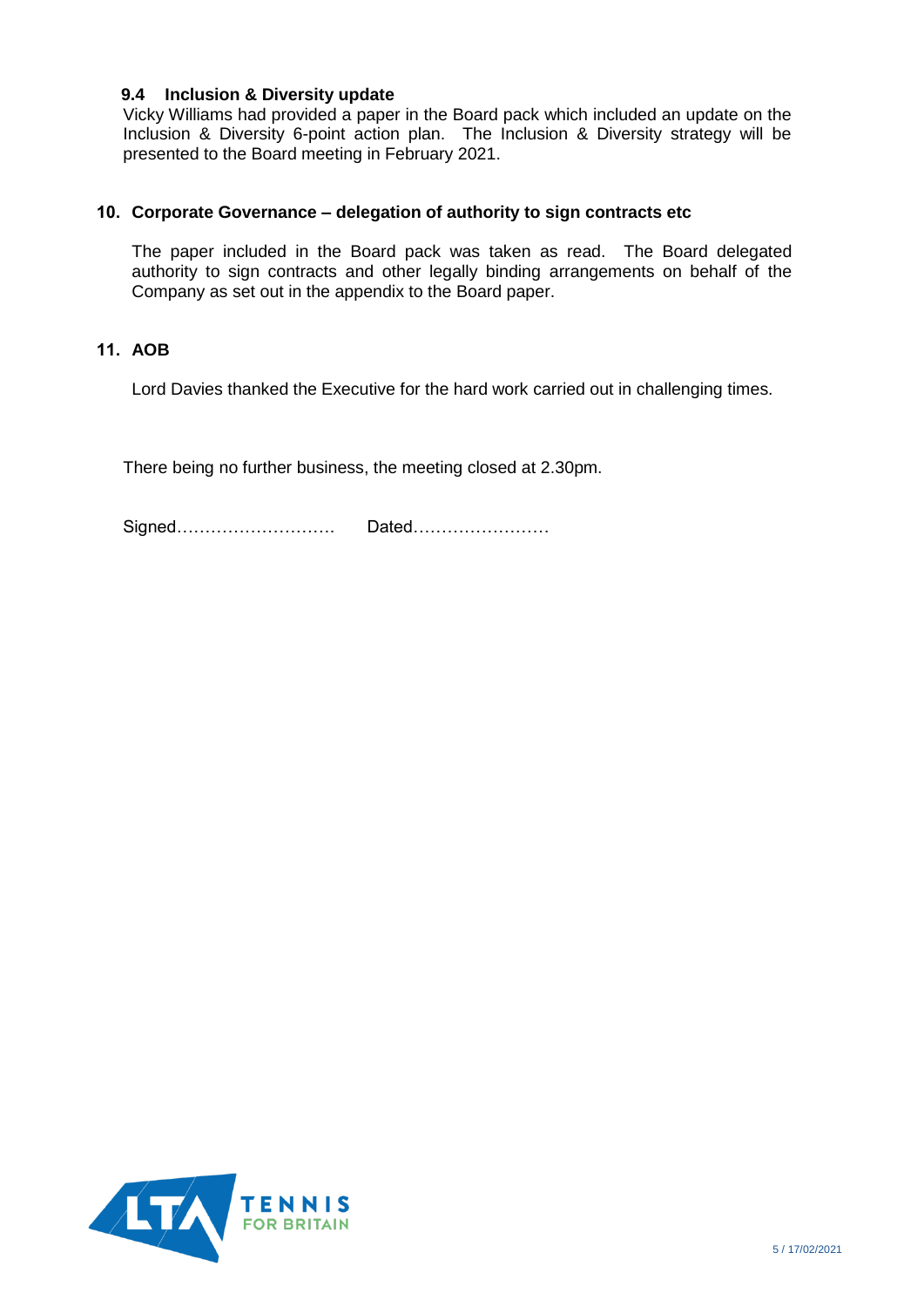## **9.4 Inclusion & Diversity update**

Vicky Williams had provided a paper in the Board pack which included an update on the Inclusion & Diversity 6-point action plan. The Inclusion & Diversity strategy will be presented to the Board meeting in February 2021.

## **10. Corporate Governance – delegation of authority to sign contracts etc**

The paper included in the Board pack was taken as read. The Board delegated authority to sign contracts and other legally binding arrangements on behalf of the Company as set out in the appendix to the Board paper.

# **11. AOB**

Lord Davies thanked the Executive for the hard work carried out in challenging times.

There being no further business, the meeting closed at 2.30pm.

Signed………………………. Dated……………………

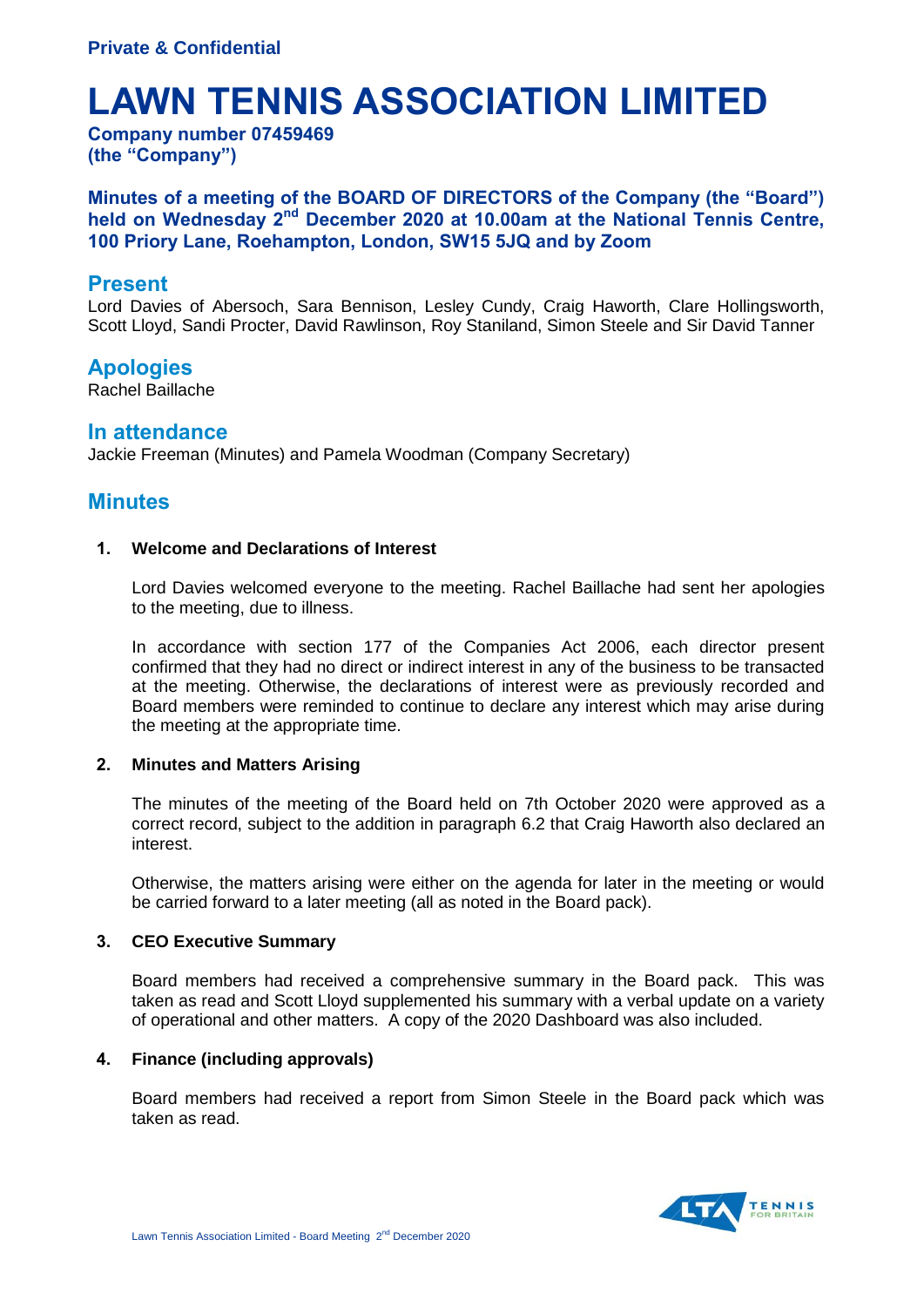# **LAWN TENNIS ASSOCIATION LIMITED**

**Company number 07459469 (the "Company")**

**Minutes of a meeting of the BOARD OF DIRECTORS of the Company (the "Board") held on Wednesday 2nd December 2020 at 10.00am at the National Tennis Centre, 100 Priory Lane, Roehampton, London, SW15 5JQ and by Zoom**

# **Present**

Lord Davies of Abersoch, Sara Bennison, Lesley Cundy, Craig Haworth, Clare Hollingsworth, Scott Lloyd, Sandi Procter, David Rawlinson, Roy Staniland, Simon Steele and Sir David Tanner

# **Apologies**

Rachel Baillache

# **In attendance**

Jackie Freeman (Minutes) and Pamela Woodman (Company Secretary)

# **Minutes**

## **1. Welcome and Declarations of Interest**

Lord Davies welcomed everyone to the meeting. Rachel Baillache had sent her apologies to the meeting, due to illness.

In accordance with section 177 of the Companies Act 2006, each director present confirmed that they had no direct or indirect interest in any of the business to be transacted at the meeting. Otherwise, the declarations of interest were as previously recorded and Board members were reminded to continue to declare any interest which may arise during the meeting at the appropriate time.

## **2. Minutes and Matters Arising**

The minutes of the meeting of the Board held on 7th October 2020 were approved as a correct record, subject to the addition in paragraph 6.2 that Craig Haworth also declared an interest.

Otherwise, the matters arising were either on the agenda for later in the meeting or would be carried forward to a later meeting (all as noted in the Board pack).

## **3. CEO Executive Summary**

Board members had received a comprehensive summary in the Board pack. This was taken as read and Scott Lloyd supplemented his summary with a verbal update on a variety of operational and other matters. A copy of the 2020 Dashboard was also included.

## **4. Finance (including approvals)**

Board members had received a report from Simon Steele in the Board pack which was taken as read.

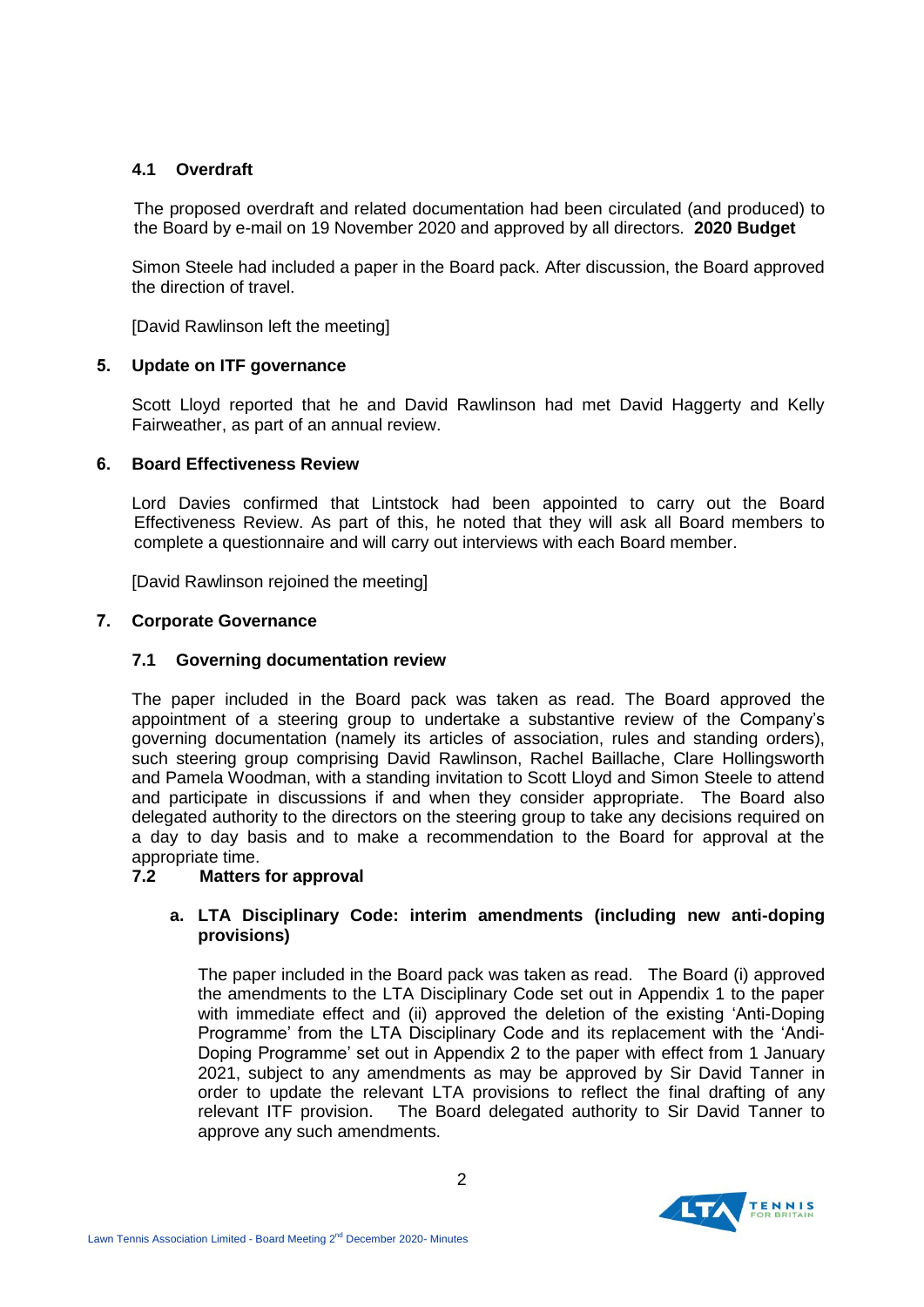## **4.1 Overdraft**

The proposed overdraft and related documentation had been circulated (and produced) to the Board by e-mail on 19 November 2020 and approved by all directors. **2020 Budget**

Simon Steele had included a paper in the Board pack. After discussion, the Board approved the direction of travel.

[David Rawlinson left the meeting]

## **5. Update on ITF governance**

Scott Lloyd reported that he and David Rawlinson had met David Haggerty and Kelly Fairweather, as part of an annual review.

## **6. Board Effectiveness Review**

Lord Davies confirmed that Lintstock had been appointed to carry out the Board Effectiveness Review. As part of this, he noted that they will ask all Board members to complete a questionnaire and will carry out interviews with each Board member.

[David Rawlinson rejoined the meeting]

## **7. Corporate Governance**

### **7.1 Governing documentation review**

The paper included in the Board pack was taken as read. The Board approved the appointment of a steering group to undertake a substantive review of the Company's governing documentation (namely its articles of association, rules and standing orders), such steering group comprising David Rawlinson, Rachel Baillache, Clare Hollingsworth and Pamela Woodman, with a standing invitation to Scott Lloyd and Simon Steele to attend and participate in discussions if and when they consider appropriate. The Board also delegated authority to the directors on the steering group to take any decisions required on a day to day basis and to make a recommendation to the Board for approval at the appropriate time.

## **7.2 Matters for approval**

## **a. LTA Disciplinary Code: interim amendments (including new anti-doping provisions)**

The paper included in the Board pack was taken as read. The Board (i) approved the amendments to the LTA Disciplinary Code set out in Appendix 1 to the paper with immediate effect and (ii) approved the deletion of the existing 'Anti-Doping Programme' from the LTA Disciplinary Code and its replacement with the 'Andi-Doping Programme' set out in Appendix 2 to the paper with effect from 1 January 2021, subject to any amendments as may be approved by Sir David Tanner in order to update the relevant LTA provisions to reflect the final drafting of any relevant ITF provision. The Board delegated authority to Sir David Tanner to approve any such amendments.

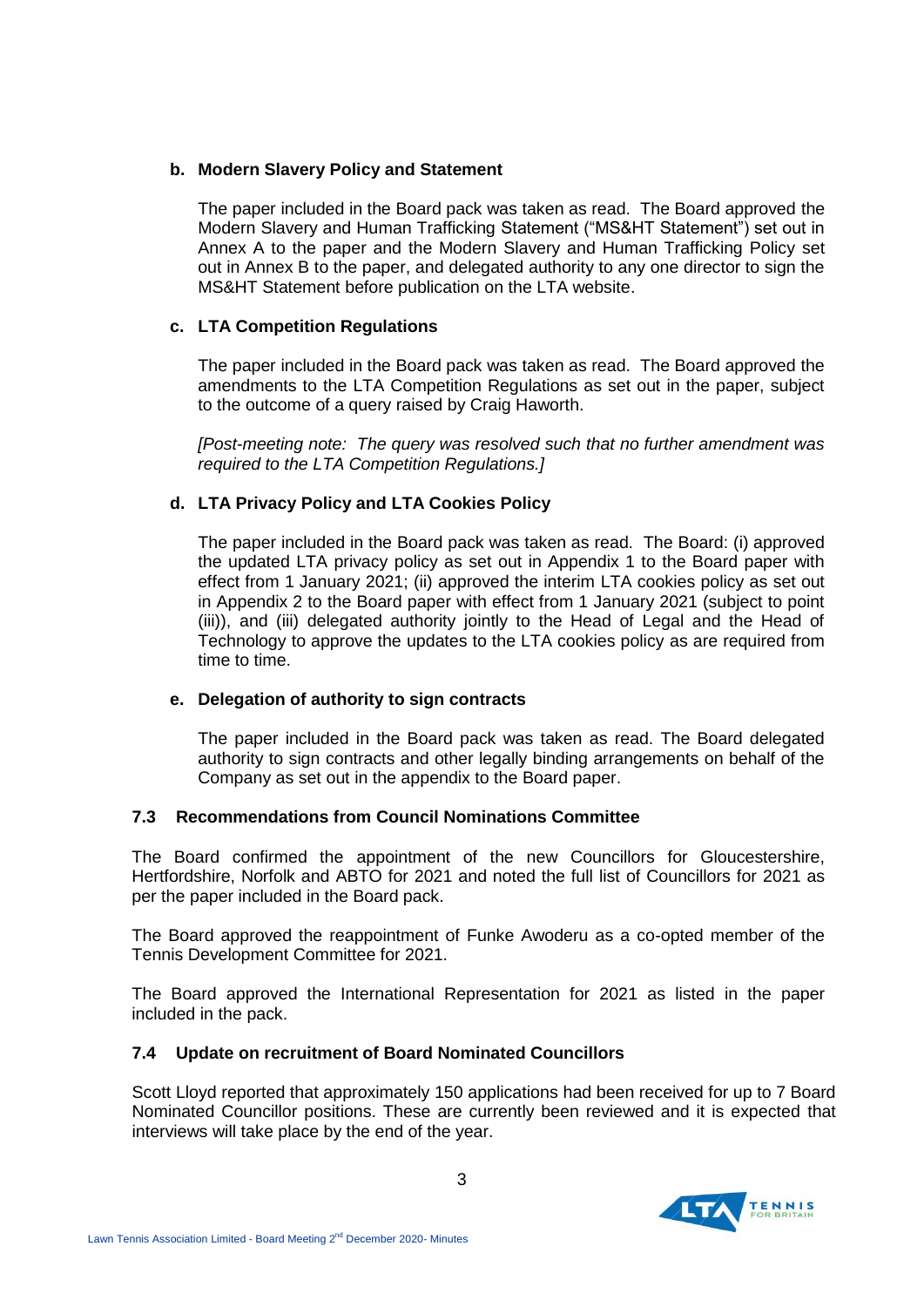# **b. Modern Slavery Policy and Statement**

The paper included in the Board pack was taken as read. The Board approved the Modern Slavery and Human Trafficking Statement ("MS&HT Statement") set out in Annex A to the paper and the Modern Slavery and Human Trafficking Policy set out in Annex B to the paper, and delegated authority to any one director to sign the MS&HT Statement before publication on the LTA website.

# **c. LTA Competition Regulations**

The paper included in the Board pack was taken as read. The Board approved the amendments to the LTA Competition Regulations as set out in the paper, subject to the outcome of a query raised by Craig Haworth.

*[Post-meeting note: The query was resolved such that no further amendment was required to the LTA Competition Regulations.]*

# **d. LTA Privacy Policy and LTA Cookies Policy**

The paper included in the Board pack was taken as read. The Board: (i) approved the updated LTA privacy policy as set out in Appendix 1 to the Board paper with effect from 1 January 2021; (ii) approved the interim LTA cookies policy as set out in Appendix 2 to the Board paper with effect from 1 January 2021 (subject to point (iii)), and (iii) delegated authority jointly to the Head of Legal and the Head of Technology to approve the updates to the LTA cookies policy as are required from time to time.

## **e. Delegation of authority to sign contracts**

The paper included in the Board pack was taken as read. The Board delegated authority to sign contracts and other legally binding arrangements on behalf of the Company as set out in the appendix to the Board paper.

## **7.3 Recommendations from Council Nominations Committee**

The Board confirmed the appointment of the new Councillors for Gloucestershire, Hertfordshire, Norfolk and ABTO for 2021 and noted the full list of Councillors for 2021 as per the paper included in the Board pack.

The Board approved the reappointment of Funke Awoderu as a co-opted member of the Tennis Development Committee for 2021.

The Board approved the International Representation for 2021 as listed in the paper included in the pack.

## **7.4 Update on recruitment of Board Nominated Councillors**

Scott Lloyd reported that approximately 150 applications had been received for up to 7 Board Nominated Councillor positions. These are currently been reviewed and it is expected that interviews will take place by the end of the year.